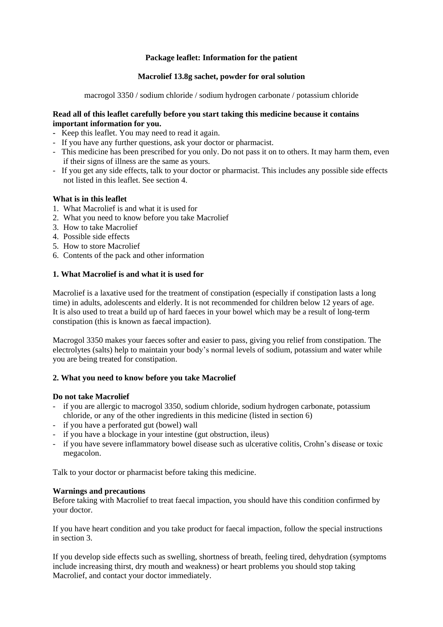# **Package leaflet: Information for the patient**

# **Macrolief 13.8g sachet, powder for oral solution**

macrogol 3350 / sodium chloride / sodium hydrogen carbonate / potassium chloride

# **Read all of this leaflet carefully before you start taking this medicine because it contains important information for you.**

- Keep this leaflet. You may need to read it again.
- If you have any further questions, ask your doctor or pharmacist.
- This medicine has been prescribed for you only. Do not pass it on to others. It may harm them, even if their signs of illness are the same as yours.
- If you get any side effects, talk to your doctor or pharmacist. This includes any possible side effects not listed in this leaflet. See section 4.

## **What is in this leaflet**

- 1. What Macrolief is and what it is used for
- 2. What you need to know before you take Macrolief
- 3. How to take Macrolief
- 4. Possible side effects
- 5. How to store Macrolief
- 6. Contents of the pack and other information

# **1. What Macrolief is and what it is used for**

Macrolief is a laxative used for the treatment of constipation (especially if constipation lasts a long time) in adults, adolescents and elderly. It is not recommended for children below 12 years of age. It is also used to treat a build up of hard faeces in your bowel which may be a result of long-term constipation (this is known as faecal impaction).

Macrogol 3350 makes your faeces softer and easier to pass, giving you relief from constipation. The electrolytes (salts) help to maintain your body's normal levels of sodium, potassium and water while you are being treated for constipation.

## **2. What you need to know before you take Macrolief**

## **Do not take Macrolief**

- if you are allergic to macrogol 3350, sodium chloride, sodium hydrogen carbonate, potassium chloride, or any of the other ingredients in this medicine (listed in section 6)
- if you have a perforated gut (bowel) wall
- if you have a blockage in your intestine (gut obstruction, ileus)
- if you have severe inflammatory bowel disease such as ulcerative colitis, Crohn's disease or toxic megacolon.

Talk to your doctor or pharmacist before taking this medicine.

## **Warnings and precautions**

Before taking with Macrolief to treat faecal impaction, you should have this condition confirmed by your doctor.

If you have heart condition and you take product for faecal impaction, follow the special instructions in section 3.

If you develop side effects such as swelling, shortness of breath, feeling tired, dehydration (symptoms include increasing thirst, dry mouth and weakness) or heart problems you should stop taking Macrolief, and contact your doctor immediately.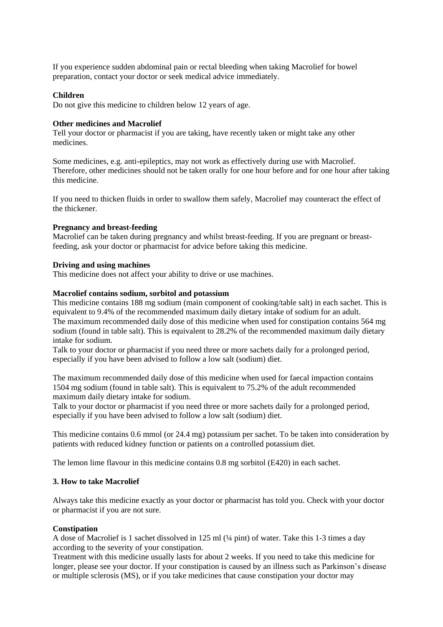If you experience sudden abdominal pain or rectal bleeding when taking Macrolief for bowel preparation, contact your doctor or seek medical advice immediately.

#### **Children**

Do not give this medicine to children below 12 years of age.

#### **Other medicines and Macrolief**

Tell your doctor or pharmacist if you are taking, have recently taken or might take any other medicines.

Some medicines, e.g. anti-epileptics, may not work as effectively during use with Macrolief. Therefore, other medicines should not be taken orally for one hour before and for one hour after taking this medicine.

If you need to thicken fluids in order to swallow them safely, Macrolief may counteract the effect of the thickener.

#### **Pregnancy and breast-feeding**

Macrolief can be taken during pregnancy and whilst breast-feeding. If you are pregnant or breastfeeding, ask your doctor or pharmacist for advice before taking this medicine.

#### **Driving and using machines**

This medicine does not affect your ability to drive or use machines.

#### **Macrolief contains sodium, sorbitol and potassium**

This medicine contains 188 mg sodium (main component of cooking/table salt) in each sachet. This is equivalent to 9.4% of the recommended maximum daily dietary intake of sodium for an adult. The maximum recommended daily dose of this medicine when used for constipation contains 564 mg sodium (found in table salt). This is equivalent to 28.2% of the recommended maximum daily dietary intake for sodium.

Talk to your doctor or pharmacist if you need three or more sachets daily for a prolonged period, especially if you have been advised to follow a low salt (sodium) diet.

The maximum recommended daily dose of this medicine when used for faecal impaction contains 1504 mg sodium (found in table salt). This is equivalent to 75.2% of the adult recommended maximum daily dietary intake for sodium.

Talk to your doctor or pharmacist if you need three or more sachets daily for a prolonged period, especially if you have been advised to follow a low salt (sodium) diet.

This medicine contains 0.6 mmol (or 24.4 mg) potassium per sachet. To be taken into consideration by patients with reduced kidney function or patients on a controlled potassium diet.

The lemon lime flavour in this medicine contains 0.8 mg sorbitol (E420) in each sachet.

#### **3. How to take Macrolief**

Always take this medicine exactly as your doctor or pharmacist has told you. Check with your doctor or pharmacist if you are not sure.

#### **Constipation**

A dose of Macrolief is 1 sachet dissolved in 125 ml (¼ pint) of water. Take this 1-3 times a day according to the severity of your constipation.

Treatment with this medicine usually lasts for about 2 weeks. If you need to take this medicine for longer, please see your doctor. If your constipation is caused by an illness such as Parkinson's disease or multiple sclerosis (MS), or if you take medicines that cause constipation your doctor may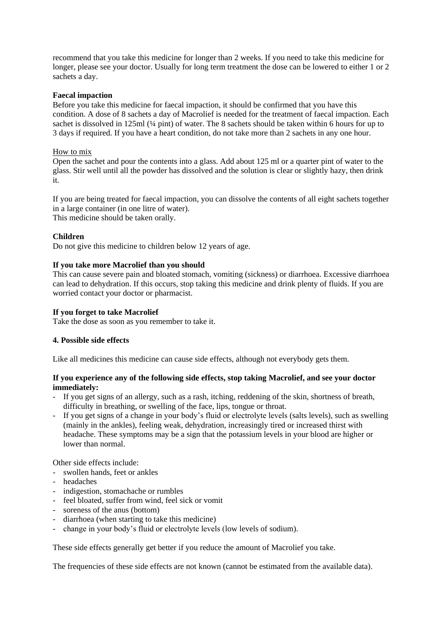recommend that you take this medicine for longer than 2 weeks. If you need to take this medicine for longer, please see your doctor. Usually for long term treatment the dose can be lowered to either 1 or 2 sachets a day.

## **Faecal impaction**

Before you take this medicine for faecal impaction, it should be confirmed that you have this condition. A dose of 8 sachets a day of Macrolief is needed for the treatment of faecal impaction. Each sachet is dissolved in 125ml ( $\frac{1}{4}$  pint) of water. The 8 sachets should be taken within 6 hours for up to 3 days if required. If you have a heart condition, do not take more than 2 sachets in any one hour.

# How to mix

Open the sachet and pour the contents into a glass. Add about 125 ml or a quarter pint of water to the glass. Stir well until all the powder has dissolved and the solution is clear or slightly hazy, then drink it.

If you are being treated for faecal impaction, you can dissolve the contents of all eight sachets together in a large container (in one litre of water). This medicine should be taken orally.

# **Children**

Do not give this medicine to children below 12 years of age.

# **If you take more Macrolief than you should**

This can cause severe pain and bloated stomach, vomiting (sickness) or diarrhoea. Excessive diarrhoea can lead to dehydration. If this occurs, stop taking this medicine and drink plenty of fluids. If you are worried contact your doctor or pharmacist.

# **If you forget to take Macrolief**

Take the dose as soon as you remember to take it.

## **4. Possible side effects**

Like all medicines this medicine can cause side effects, although not everybody gets them.

# **If you experience any of the following side effects, stop taking Macrolief, and see your doctor immediately:**

- If you get signs of an allergy, such as a rash, itching, reddening of the skin, shortness of breath, difficulty in breathing, or swelling of the face, lips, tongue or throat.
- If you get signs of a change in your body's fluid or electrolyte levels (salts levels), such as swelling (mainly in the ankles), feeling weak, dehydration, increasingly tired or increased thirst with headache. These symptoms may be a sign that the potassium levels in your blood are higher or lower than normal.

Other side effects include:

- swollen hands, feet or ankles
- headaches
- indigestion, stomachache or rumbles
- feel bloated, suffer from wind, feel sick or vomit
- soreness of the anus (bottom)
- diarrhoea (when starting to take this medicine)
- change in your body's fluid or electrolyte levels (low levels of sodium).

These side effects generally get better if you reduce the amount of Macrolief you take.

The frequencies of these side effects are not known (cannot be estimated from the available data).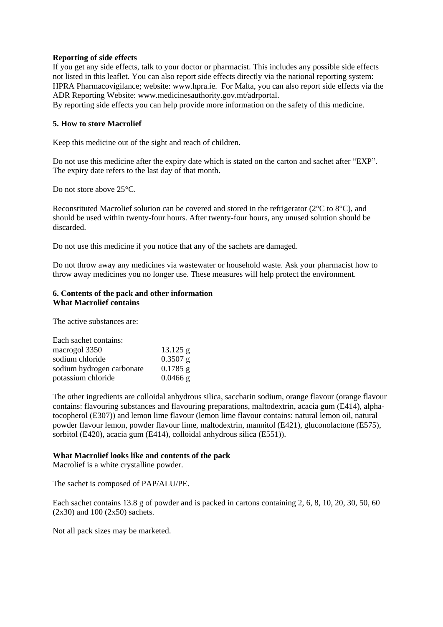## **Reporting of side effects**

If you get any side effects, talk to your doctor or pharmacist. This includes any possible side effects not listed in this leaflet. You can also report side effects directly via the national reporting system: HPRA Pharmacovigilance; website: www.hpra.ie. For Malta, you can also report side effects via the ADR Reporting Website: www.medicinesauthority.gov.mt/adrportal.

By reporting side effects you can help provide more information on the safety of this medicine.

# **5. How to store Macrolief**

Keep this medicine out of the sight and reach of children.

Do not use this medicine after the expiry date which is stated on the carton and sachet after "EXP". The expiry date refers to the last day of that month.

Do not store above 25°C.

Reconstituted Macrolief solution can be covered and stored in the refrigerator ( $2^{\circ}C$  to  $8^{\circ}C$ ), and should be used within twenty-four hours. After twenty-four hours, any unused solution should be discarded.

Do not use this medicine if you notice that any of the sachets are damaged.

Do not throw away any medicines via wastewater or household waste. Ask your pharmacist how to throw away medicines you no longer use. These measures will help protect the environment.

## **6. Contents of the pack and other information What Macrolief contains**

The active substances are:

| Each sachet contains:     |            |
|---------------------------|------------|
| macrogol 3350             | $13.125$ g |
| sodium chloride           | $0.3507$ g |
| sodium hydrogen carbonate | $0.1785$ g |
| potassium chloride        | $0.0466$ g |

The other ingredients are colloidal anhydrous silica, saccharin sodium, orange flavour (orange flavour contains: flavouring substances and flavouring preparations, maltodextrin, acacia gum (E414), alphatocopherol (E307)) and lemon lime flavour (lemon lime flavour contains: natural lemon oil, natural powder flavour lemon, powder flavour lime, maltodextrin, mannitol (E421), gluconolactone (E575), sorbitol (E420), acacia gum (E414), colloidal anhydrous silica (E551)).

## **What Macrolief looks like and contents of the pack**

Macrolief is a white crystalline powder.

The sachet is composed of PAP/ALU/PE.

Each sachet contains 13.8 g of powder and is packed in cartons containing 2, 6, 8, 10, 20, 30, 50, 60 (2x30) and 100 (2x50) sachets.

Not all pack sizes may be marketed.